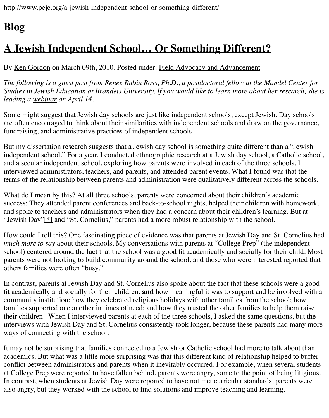By Ken Gordon on March 09th, 2010. Posted under: Field Advocacy and Advancement

*The following is a guest post from Renee Rubin Ross, Ph.D., a postdoctoral fellow at the Mandel Studies in Jewish Education at Brandeis University. If you would like to learn more about her [leading a webinar on April 14.](http://www.peje.org/a-jewish-independent-school-or-something-different/)*

Some might suggest that Jewish day schools are just like independent schools, except Jewish. are [often encour](http://www.peje.org/author/ken-gordon/)aged to think about their similarities [with independent schools and draw](http://www.peje.org/category/topics/fss/) on the fundraising, and administrative practices of independent schools.

But my dissertation research suggests that a Jewish day school is something quite different than independ[ent schoo](http://urj.org/learning/meetings/webinars/?syspage=article&item_id=35600)l." For a year, I conducted ethnographic research at a Jewish day school, a C and a secular independent school, exploring how parents were involved in each of the three scl interviewed administrators, teachers, and parents, and attended parent events. What I found was terms of the relationship between parents and administration were qualitatively different acros.

What do I mean by this? At all three schools, parents were concerned about their children's aca success: They attended parent conferences and back-to-school nights, helped their children with and spoke to teachers and administrators when they had a concern about their children's learni "Jewish Day"<sup>[\*]</sup> and "St. Cornelius," parents had a more robust relationship with the school.

How could I tell this? One fascinating piece of evidence was that parents at Jewish Day and St. *much more to say* about their schools. My conversations with parents at "College Prep" (the in school) centered around the fact that the school was a good fit academically and socially for th parents were not looking to build community around the school, and those who were interested others families were often "busy."

In contrast, p[aren](http://www.peje.org/blog/wp-includes/js/tinymce/plugins/paste/pasteword.htm?ver=3241-1141#_ftn1)ts at Jewish Day and St. Cornelius also spoke about the fact that these school fit academically and socially for their children, and how meaningful it was to support and be in community institution; how they celebrated religious holidays with other families from the school; computed in families supported one another in times of need; and how they trusted the other families to help their children. When I interviewed parents at each of the three schools, I asked the same quest interviews with Jewish Day and St. Cornelius consistently took longer, because these parents had many more more ways of connecting with the school.

It may not be surprising that families connected to a Jewish or Catholic school had more to tall academics. But what was a little more surprising was that this different kind of relationship helped conflict between administrators and parents when it inevitably occurred. For example, when see at College Prep were reported to have fallen behind, parents were angry, some to the point of being litigious. In contrast, when students at Jewish Day were reported to have not met curricular standards, p also angry, but they worked with the school to find solutions and improve teaching and learnin